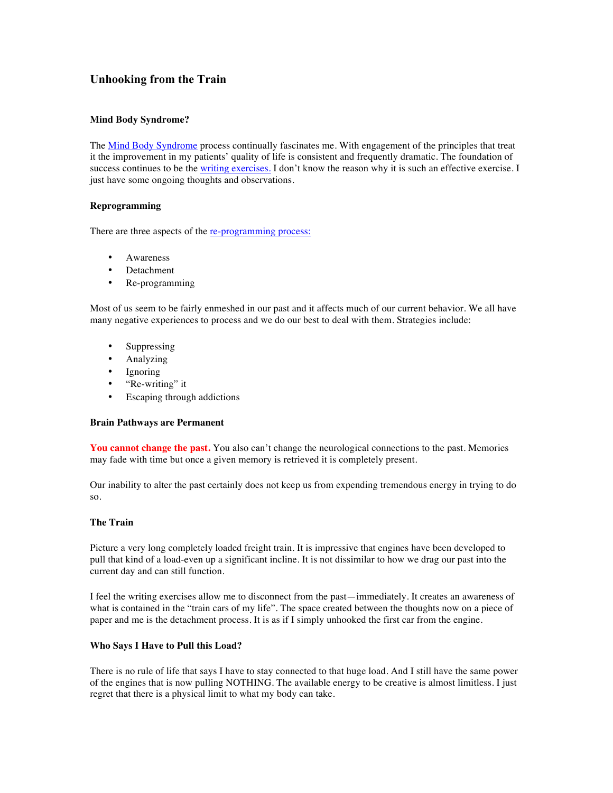# **Unhooking from the Train**

# **Mind Body Syndrome?**

The Mind Body Syndrome process continually fascinates me. With engagement of the principles that treat it the improvement in my patients' quality of life is consistent and frequently dramatic. The foundation of success continues to be the writing exercises. I don't know the reason why it is such an effective exercise. I just have some ongoing thoughts and observations.

## **Reprogramming**

There are three aspects of the re-programming process:

- Awareness
- Detachment
- Re-programming

Most of us seem to be fairly enmeshed in our past and it affects much of our current behavior. We all have many negative experiences to process and we do our best to deal with them. Strategies include:

- Suppressing
- Analyzing
- Ignoring
- "Re-writing" it
- Escaping through addictions

#### **Brain Pathways are Permanent**

You cannot change the past. You also can't change the neurological connections to the past. Memories may fade with time but once a given memory is retrieved it is completely present.

Our inability to alter the past certainly does not keep us from expending tremendous energy in trying to do so.

## **The Train**

Picture a very long completely loaded freight train. It is impressive that engines have been developed to pull that kind of a load-even up a significant incline. It is not dissimilar to how we drag our past into the current day and can still function.

I feel the writing exercises allow me to disconnect from the past—immediately. It creates an awareness of what is contained in the "train cars of my life". The space created between the thoughts now on a piece of paper and me is the detachment process. It is as if I simply unhooked the first car from the engine.

## **Who Says I Have to Pull this Load?**

There is no rule of life that says I have to stay connected to that huge load. And I still have the same power of the engines that is now pulling NOTHING. The available energy to be creative is almost limitless. I just regret that there is a physical limit to what my body can take.